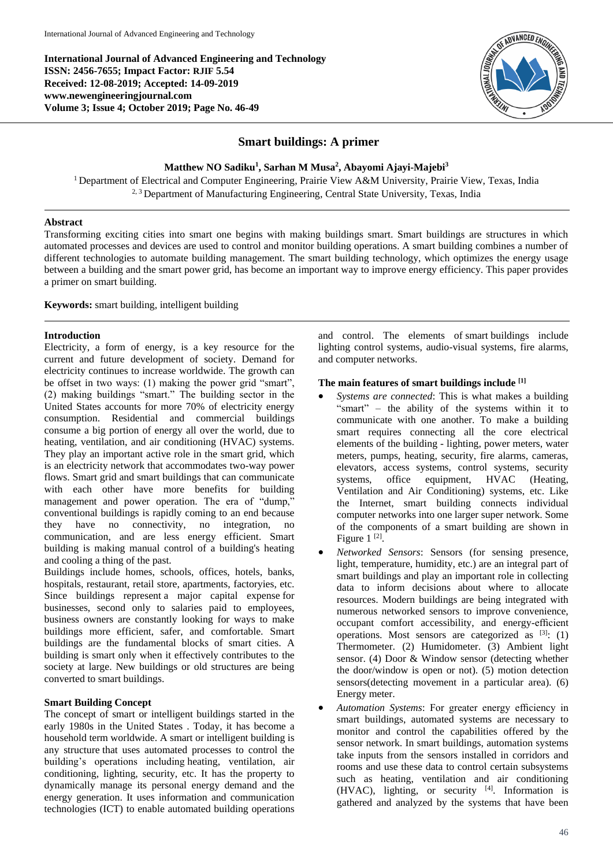**International Journal of Advanced Engineering and Technology ISSN: 2456-7655; Impact Factor: RJIF 5.54 Received: 12-08-2019; Accepted: 14-09-2019 www.newengineeringjournal.com Volume 3; Issue 4; October 2019; Page No. 46-49**



# **Smart buildings: A primer**

**Matthew NO Sadiku<sup>1</sup> , Sarhan M Musa<sup>2</sup> , Abayomi Ajayi-Majebi<sup>3</sup>**

<sup>1</sup> Department of Electrical and Computer Engineering, Prairie View A&M University, Prairie View, Texas, India <sup>2, 3</sup> Department of Manufacturing Engineering, Central State University, Texas, India

# **Abstract**

Transforming exciting cities into smart one begins with making buildings smart. Smart buildings are structures in which automated processes and devices are used to control and monitor building operations. A smart building combines a number of different technologies to automate building management. The smart building technology, which optimizes the energy usage between a building and the smart power grid, has become an important way to improve energy efficiency. This paper provides a primer on smart building.

**Keywords:** smart building, intelligent building

### **Introduction**

Electricity, a form of energy, is a key resource for the current and future development of society. Demand for electricity continues to increase worldwide. The growth can be offset in two ways: (1) making the power grid "smart", (2) making buildings "smart." The building sector in the United States accounts for more 70% of electricity energy consumption. Residential and commercial buildings consume a big portion of energy all over the world, due to heating, ventilation, and air conditioning (HVAC) systems. They play an important active role in the smart grid, which is an electricity network that accommodates two-way power flows. Smart grid and smart buildings that can communicate with each other have more benefits for building management and power operation. The era of "dump," conventional buildings is rapidly coming to an end because they have no connectivity, no integration, no communication, and are less energy efficient. Smart building is making manual control of a building's heating and cooling a thing of the past.

Buildings include homes, schools, offices, hotels, banks, hospitals, restaurant, retail store, apartments, factoryies, etc. Since buildings represent a major capital expense for businesses, second only to salaries paid to employees, business owners are constantly looking for ways to make buildings more efficient, safer, and comfortable. Smart buildings are the fundamental blocks of smart cities. A building is smart only when it effectively contributes to the society at large. New buildings or old structures are being converted to smart buildings.

### **Smart Building Concept**

The concept of smart or intelligent buildings started in the early 1980s in the United States . Today, it has become a household term worldwide. A smart or intelligent building is any structure that uses automated processes to control the building's operations including heating, ventilation, air conditioning, lighting, security, etc. It has the property to dynamically manage its personal energy demand and the energy generation. It uses information and communication technologies (ICT) to enable automated building operations and control. The elements of smart buildings include lighting control systems, audio-visual systems, fire alarms, and computer networks.

# **The main features of smart buildings include [1]**

- *Systems are connected*: This is what makes a building "smart" – the ability of the systems within it to communicate with one another. To make a building smart requires connecting all the core electrical elements of the building - lighting, power meters, water meters, pumps, heating, security, fire alarms, cameras, elevators, access systems, control systems, security systems, office equipment, HVAC (Heating, Ventilation and Air Conditioning) systems, etc. Like the Internet, smart building connects individual computer networks into one larger super network. Some of the components of a smart building are shown in Figure  $1^{[2]}$ .
- *Networked Sensors*: Sensors (for sensing presence, light, temperature, humidity, etc.) are an integral part of smart buildings and play an important role in collecting data to inform decisions about where to allocate resources. Modern buildings are being integrated with numerous networked sensors to improve convenience, occupant comfort accessibility, and energy-efficient operations. Most sensors are categorized as  $[3]$ : (1) Thermometer. (2) Humidometer. (3) Ambient light sensor. (4) Door & Window sensor (detecting whether the door/window is open or not). (5) motion detection sensors(detecting movement in a particular area). (6) Energy meter.
- *Automation Systems*: For greater energy efficiency in smart buildings, automated systems are necessary to monitor and control the capabilities offered by the sensor network. In smart buildings, automation systems take inputs from the sensors installed in corridors and rooms and use these data to control certain subsystems such as heating, ventilation and air conditioning (HVAC), lighting, or security  $[4]$ . Information is gathered and analyzed by the systems that have been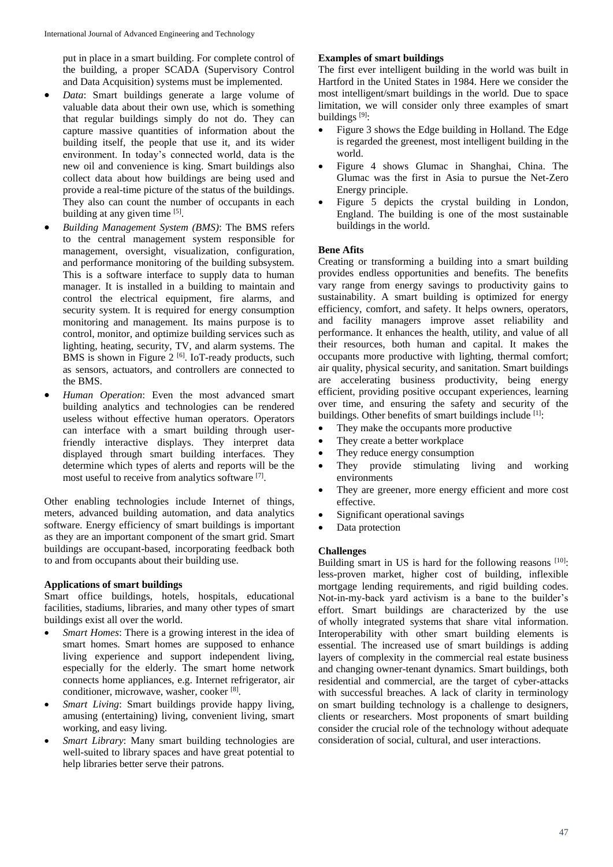put in place in a smart building. For complete control of the building, a proper SCADA (Supervisory Control and Data Acquisition) systems must be implemented.

- *Data*: Smart buildings generate a large volume of valuable data about their own use, which is something that regular buildings simply do not do. They can capture massive quantities of information about the building itself, the people that use it, and its wider environment. In today's connected world, data is the new oil and convenience is king. Smart buildings also collect data about how buildings are being used and provide a real-time picture of the status of the buildings. They also can count the number of occupants in each building at any given time [5].
- *Building Management System (BMS)*: The BMS refers to the central management system responsible for management, oversight, visualization, configuration, and performance monitoring of the building subsystem. This is a software interface to supply data to human manager. It is installed in a building to maintain and control the electrical equipment, fire alarms, and security system. It is required for energy consumption monitoring and management. Its mains purpose is to control, monitor, and optimize building services such as lighting, heating, security, TV, and alarm systems. The BMS is shown in Figure  $2^{[6]}$ . IoT-ready products, such as sensors, actuators, and controllers are connected to the BMS.
- *Human Operation*: Even the most advanced smart building analytics and technologies can be rendered useless without effective human operators. Operators can interface with a smart building through userfriendly interactive displays. They interpret data displayed through smart building interfaces. They determine which types of alerts and reports will be the most useful to receive from analytics software [7].

Other enabling technologies include Internet of things, meters, advanced building automation, and data analytics software. Energy efficiency of smart buildings is important as they are an important component of the smart grid. Smart buildings are occupant-based, incorporating feedback both to and from occupants about their building use.

### **Applications of smart buildings**

Smart office buildings, hotels, hospitals, educational facilities, stadiums, libraries, and many other types of smart buildings exist all over the world.

- *Smart Homes*: There is a growing interest in the idea of smart homes. Smart homes are supposed to enhance living experience and support independent living, especially for the elderly. The smart home network connects home appliances, e.g. Internet refrigerator, air conditioner, microwave, washer, cooker<sup>[8]</sup>.
- *Smart Living*: Smart buildings provide happy living, amusing (entertaining) living, convenient living, smart working, and easy living.
- *Smart Library*: Many smart building technologies are well-suited to library spaces and have great potential to help libraries better serve their patrons.

# **Examples of smart buildings**

The first ever intelligent building in the world was built in Hartford in the United States in 1984. Here we consider the most intelligent/smart buildings in the world. Due to space limitation, we will consider only three examples of smart buildings<sup>[9]</sup>:

- Figure 3 shows the Edge building in Holland. The Edge is regarded the greenest, most intelligent building in the world.
- Figure 4 shows Glumac in Shanghai, China. The Glumac was the first in Asia to pursue the Net-Zero Energy principle.
- Figure 5 depicts the crystal building in London, England. The building is one of the most sustainable buildings in the world.

# **Bene Afits**

Creating or transforming a building into a smart building provides endless opportunities and benefits. The benefits vary range from energy savings to productivity gains to sustainability. A smart building is optimized for energy efficiency, comfort, and safety. It helps owners, operators, and facility managers improve asset reliability and performance. It enhances the health, utility, and value of all their resources, both human and capital. It makes the occupants more productive with lighting, thermal comfort; air quality, physical security, and sanitation. Smart buildings are accelerating business productivity, being energy efficient, providing positive occupant experiences, learning over time, and ensuring the safety and security of the buildings. Other benefits of smart buildings include [1]:

- They make the occupants more productive
- They create a better workplace
- They reduce energy consumption
- They provide stimulating living and working environments
- They are greener, more energy efficient and more cost effective.
- Significant operational savings
- Data protection

### **Challenges**

Building smart in US is hard for the following reasons  $[10]$ : less-proven market, higher cost of building, inflexible mortgage lending requirements, and rigid building codes. Not-in-my-back yard activism is a bane to the builder's effort. Smart buildings are characterized by the use of wholly integrated systems that share vital information. Interoperability with other smart building elements is essential. The increased use of smart buildings is adding layers of complexity in the commercial real estate business and changing owner-tenant dynamics. Smart buildings, both residential and commercial, are the target of cyber-attacks with successful breaches. A lack of clarity in terminology on smart building technology is a challenge to designers, clients or researchers. Most proponents of smart building consider the crucial role of the technology without adequate consideration of social, cultural, and user interactions.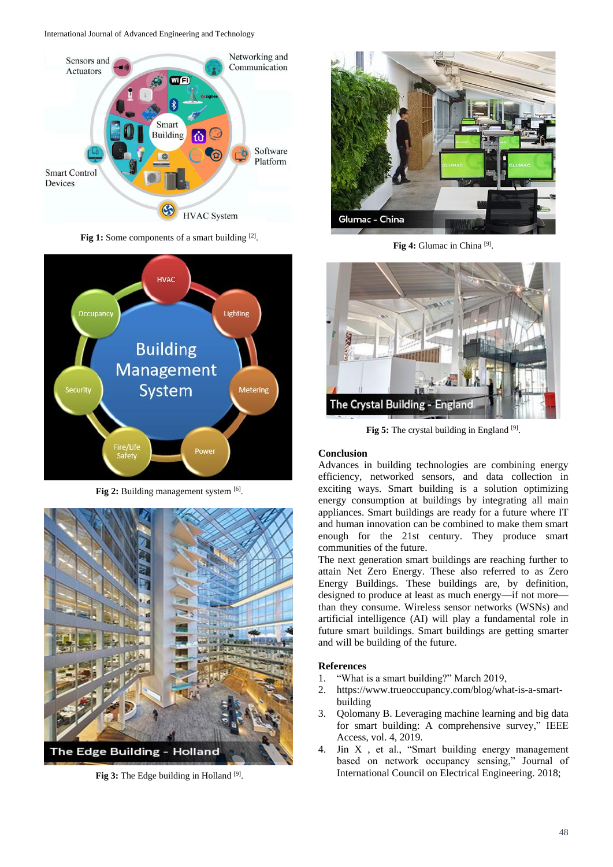International Journal of Advanced Engineering and Technology



Fig 1: Some components of a smart building [2].



Fig 2: Building management system [6].



Fig 3: The Edge building in Holland<sup>[9]</sup>.



Fig 4: Glumac in China<sup>[9]</sup>.



Fig 5: The crystal building in England [9].

### **Conclusion**

Advances in building technologies are combining energy efficiency, networked sensors, and data collection in exciting ways. Smart building is a solution optimizing energy consumption at buildings by integrating all main appliances. Smart buildings are ready for a future where IT and human innovation can be combined to make them smart enough for the 21st century. They produce smart communities of the future.

The next generation smart buildings are reaching further to attain Net Zero Energy. These also referred to as Zero Energy Buildings. These buildings are, by definition, designed to produce at least as much energy—if not more than they consume. Wireless sensor networks (WSNs) and artificial intelligence (AI) will play a fundamental role in future smart buildings. Smart buildings are getting smarter and will be building of the future.

### **References**

- 1. "What is a smart building?" March 2019,
- 2. https://www.trueoccupancy.com/blog/what-is-a-smartbuilding
- 3. Qolomany B. Leveraging machine learning and big data for smart building: A comprehensive survey," IEEE Access, vol. 4, 2019.
- 4. Jin X , et al., "Smart building energy management based on network occupancy sensing," Journal of International Council on Electrical Engineering. 2018;